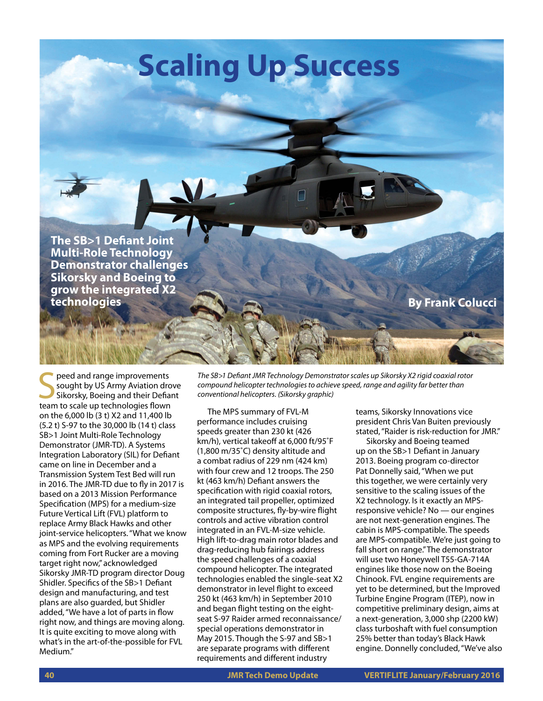**The SB>1 Defiant Joint Multi-Role Technology Demonstrator challenges Sikorsky and Boeing to grow the integrated X2** 

Seed and range improvements<br>
Sought by US Army Aviation dro<br>
Sikorsky, Boeing and their Defianteam to scale up technologies flown peed and range improvements sought by US Army Aviation drove Sikorsky, Boeing and their Defiant on the 6,000 lb (3 t) X2 and 11,400 lb (5.2 t) S-97 to the 30,000 lb (14 t) class SB>1 Joint Multi-Role Technology Demonstrator (JMR-TD). A Systems Integration Laboratory (SIL) for Defiant came on line in December and a Transmission System Test Bed will run in 2016. The JMR-TD due to fly in 2017 is based on a 2013 Mission Performance Specification (MPS) for a medium-size Future Vertical Lift (FVL) platform to replace Army Black Hawks and other joint-service helicopters. "What we know as MPS and the evolving requirements coming from Fort Rucker are a moving target right now," acknowledged Sikorsky JMR-TD program director Doug Shidler. Specifics of the SB>1 Defiant design and manufacturing, and test plans are also guarded, but Shidler added, "We have a lot of parts in flow right now, and things are moving along. It is quite exciting to move along with what's in the art-of-the-possible for FVL Medium."

*The SB>1 Defiant JMR Technology Demonstrator scales up Sikorsky X2 rigid coaxial rotor compound helicopter technologies to achieve speed, range and agility far better than conventional helicopters. (Sikorsky graphic)*

The MPS summary of FVL-M performance includes cruising speeds greater than 230 kt (426 km/h), vertical takeoff at 6,000 ft/95˚F (1,800 m/35˚C) density altitude and a combat radius of 229 nm (424 km) with four crew and 12 troops. The 250 kt (463 km/h) Defiant answers the specification with rigid coaxial rotors, an integrated tail propeller, optimized composite structures, fly-by-wire flight controls and active vibration control integrated in an FVL-M-size vehicle. High lift-to-drag main rotor blades and drag-reducing hub fairings address the speed challenges of a coaxial compound helicopter. The integrated technologies enabled the single-seat X2 demonstrator in level flight to exceed 250 kt (463 km/h) in September 2010 and began flight testing on the eightseat S-97 Raider armed reconnaissance/ special operations demonstrator in May 2015. Though the S-97 and SB>1 are separate programs with different requirements and different industry

**Scaling Up Success**

teams, Sikorsky Innovations vice president Chris Van Buiten previously stated, "Raider is risk-reduction for JMR."

**By Frank Colucci** 

Sikorsky and Boeing teamed up on the SB>1 Defiant in January 2013. Boeing program co-director Pat Donnelly said, "When we put this together, we were certainly very sensitive to the scaling issues of the X2 technology. Is it exactly an MPSresponsive vehicle? No — our engines are not next-generation engines. The cabin is MPS-compatible. The speeds are MPS-compatible. We're just going to fall short on range." The demonstrator will use two Honeywell T55-GA-714A engines like those now on the Boeing Chinook. FVL engine requirements are yet to be determined, but the Improved Turbine Engine Program (ITEP), now in competitive preliminary design, aims at a next-generation, 3,000 shp (2200 kW) class turboshaft with fuel consumption 25% better than today's Black Hawk engine. Donnelly concluded, "We've also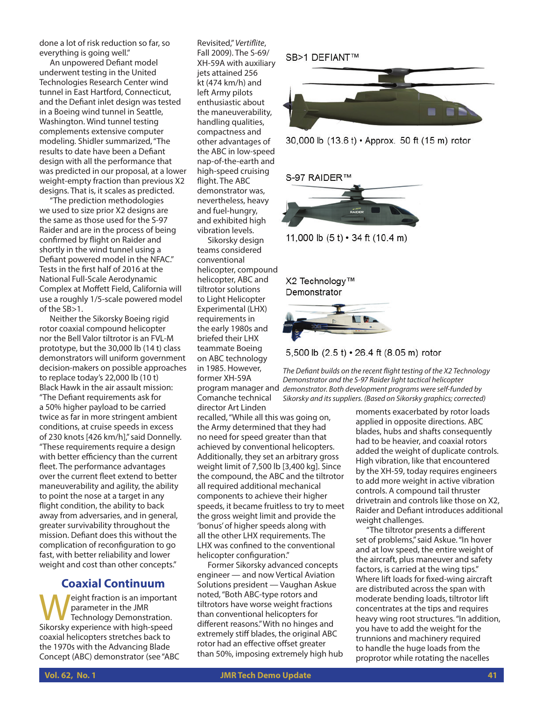done a lot of risk reduction so far, so everything is going well."

An unpowered Defiant model underwent testing in the United Technologies Research Center wind tunnel in East Hartford, Connecticut, and the Defiant inlet design was tested in a Boeing wind tunnel in Seattle, Washington. Wind tunnel testing complements extensive computer modeling. Shidler summarized, "The results to date have been a Defiant design with all the performance that was predicted in our proposal, at a lower weight-empty fraction than previous X2 designs. That is, it scales as predicted.

"The prediction methodologies we used to size prior X2 designs are the same as those used for the S-97 Raider and are in the process of being confirmed by flight on Raider and shortly in the wind tunnel using a Defiant powered model in the NFAC." Tests in the first half of 2016 at the National Full-Scale Aerodynamic Complex at Moffett Field, California will use a roughly 1/5-scale powered model of the SB>1.

Neither the Sikorsky Boeing rigid rotor coaxial compound helicopter nor the Bell Valor tiltrotor is an FVL-M prototype, but the 30,000 lb (14 t) class demonstrators will uniform government decision-makers on possible approaches to replace today's 22,000 lb (10 t) Black Hawk in the air assault mission: "The Defiant requirements ask for a 50% higher payload to be carried twice as far in more stringent ambient conditions, at cruise speeds in excess of 230 knots [426 km/h]," said Donnelly. "These requirements require a design with better efficiency than the current fleet. The performance advantages over the current fleet extend to better maneuverability and agility, the ability to point the nose at a target in any flight condition, the ability to back away from adversaries, and in general, greater survivability throughout the mission. Defiant does this without the complication of reconfiguration to go fast, with better reliability and lower weight and cost than other concepts."

## **Coaxial Continuum**

Weight fraction is an important<br>
Technology Demonstration.<br>
Sikorsky experience with bigh-speed parameter in the JMR Sikorsky experience with high-speed coaxial helicopters stretches back to the 1970s with the Advancing Blade Concept (ABC) demonstrator (see "ABC

Revisited," *Vertiflite*, Fall 2009). The S-69/ XH-59A with auxiliary jets attained 256 kt (474 km/h) and left Army pilots enthusiastic about the maneuverability, handling qualities, compactness and other advantages of the ABC in low-speed nap-of-the-earth and high-speed cruising flight. The ABC demonstrator was, nevertheless, heavy and fuel-hungry, and exhibited high vibration levels.

Sikorsky design teams considered conventional helicopter, compound helicopter, ABC and tiltrotor solutions to Light Helicopter Experimental (LHX) requirements in the early 1980s and briefed their LHX teammate Boeing on ABC technology in 1985. However, former XH-59A Comanche technical director Art Linden

recalled, "While all this was going on, the Army determined that they had no need for speed greater than that achieved by conventional helicopters. Additionally, they set an arbitrary gross weight limit of 7,500 lb [3,400 kg]. Since the compound, the ABC and the tiltrotor all required additional mechanical components to achieve their higher speeds, it became fruitless to try to meet the gross weight limit and provide the 'bonus' of higher speeds along with all the other LHX requirements. The LHX was confined to the conventional helicopter configuration."

Former Sikorsky advanced concepts engineer — and now Vertical Aviation Solutions president — Vaughan Askue noted, "Both ABC-type rotors and tiltrotors have worse weight fractions than conventional helicopters for different reasons." With no hinges and extremely stiff blades, the original ABC rotor had an effective offset greater than 50%, imposing extremely high hub

SB>1 DEFIANT™









11,000 lb  $(5 t) \cdot 34$  ft  $(10.4 m)$ 

X2 Technology™ Demonstrator





program manager and *demonstrator. Both development programs were self-funded by The Defiant builds on the recent flight testing of the X2 Technology Demonstrator and the S-97 Raider light tactical helicopter Sikorsky and its suppliers. (Based on Sikorsky graphics; corrected)*

> moments exacerbated by rotor loads applied in opposite directions. ABC blades, hubs and shafts consequently had to be heavier, and coaxial rotors added the weight of duplicate controls. High vibration, like that encountered by the XH-59, today requires engineers to add more weight in active vibration controls. A compound tail thruster drivetrain and controls like those on X2, Raider and Defiant introduces additional weight challenges.

"The tiltrotor presents a different set of problems," said Askue. "In hover and at low speed, the entire weight of the aircraft, plus maneuver and safety factors, is carried at the wing tips." Where lift loads for fixed-wing aircraft are distributed across the span with moderate bending loads, tiltrotor lift concentrates at the tips and requires heavy wing root structures. "In addition, you have to add the weight for the trunnions and machinery required to handle the huge loads from the proprotor while rotating the nacelles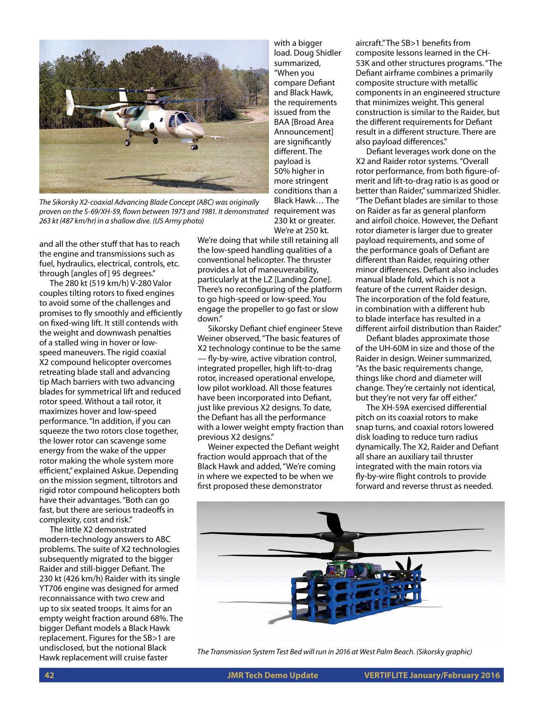

*The Sikorsky X2-coaxial Advancing Blade Concept (ABC) was originally proven on the S-69/XH-59, flown between 1973 and 1981. It demonstrated 263 kt (487 km/hr) in a shallow dive. (US Army photo)*

and all the other stuff that has to reach the engine and transmissions such as fuel, hydraulics, electrical, controls, etc. through [angles of] 95 degrees."

The 280 kt (519 km/h) V-280 Valor couples tilting rotors to fixed engines to avoid some of the challenges and promises to fly smoothly and efficiently on fixed-wing lift. It still contends with the weight and downwash penalties of a stalled wing in hover or lowspeed maneuvers. The rigid coaxial X2 compound helicopter overcomes retreating blade stall and advancing tip Mach barriers with two advancing blades for symmetrical lift and reduced rotor speed. Without a tail rotor, it maximizes hover and low-speed performance. "In addition, if you can squeeze the two rotors close together, the lower rotor can scavenge some energy from the wake of the upper rotor making the whole system more efficient," explained Askue. Depending on the mission segment, tiltrotors and rigid rotor compound helicopters both have their advantages. "Both can go fast, but there are serious tradeoffs in complexity, cost and risk."

The little X2 demonstrated modern-technology answers to ABC problems. The suite of X2 technologies subsequently migrated to the bigger Raider and still-bigger Defiant. The 230 kt (426 km/h) Raider with its single YT706 engine was designed for armed reconnaissance with two crew and up to six seated troops. It aims for an empty weight fraction around 68%. The bigger Defiant models a Black Hawk replacement. Figures for the SB>1 are undisclosed, but the notional Black

We're doing that while still retaining all the low-speed handling qualities of a conventional helicopter. The thruster provides a lot of maneuverability, particularly at the LZ [Landing Zone]. There's no reconfiguring of the platform to go high-speed or low-speed. You engage the propeller to go fast or slow down."

with a bigger load. Doug Shidler summarized, "When you compare Defiant and Black Hawk, the requirements issued from the BAA [Broad Area Announcement] are significantly different. The payload is 50% higher in more stringent conditions than a Black Hawk… The requirement was 230 kt or greater. We're at 250 kt.

Sikorsky Defiant chief engineer Steve Weiner observed, "The basic features of X2 technology continue to be the same — fly-by-wire, active vibration control, integrated propeller, high lift-to-drag rotor, increased operational envelope, low pilot workload. All those features have been incorporated into Defiant, just like previous X2 designs. To date, the Defiant has all the performance with a lower weight empty fraction than previous X2 designs."

Weiner expected the Defiant weight fraction would approach that of the Black Hawk and added, "We're coming in where we expected to be when we first proposed these demonstrator

aircraft." The SB>1 benefits from composite lessons learned in the CH-53K and other structures programs. "The Defiant airframe combines a primarily composite structure with metallic components in an engineered structure that minimizes weight. This general construction is similar to the Raider, but the different requirements for Defiant result in a different structure. There are also payload differences."

Defiant leverages work done on the X2 and Raider rotor systems. "Overall rotor performance, from both figure-ofmerit and lift-to-drag ratio is as good or better than Raider," summarized Shidler. "The Defiant blades are similar to those on Raider as far as general planform and airfoil choice. However, the Defiant rotor diameter is larger due to greater payload requirements, and some of the performance goals of Defiant are different than Raider, requiring other minor differences. Defiant also includes manual blade fold, which is not a feature of the current Raider design. The incorporation of the fold feature, in combination with a different hub to blade interface has resulted in a different airfoil distribution than Raider."

Defiant blades approximate those of the UH-60M in size and those of the Raider in design. Weiner summarized, "As the basic requirements change, things like chord and diameter will change. They're certainly not identical, but they're not very far off either."

The XH-59A exercised differential pitch on its coaxial rotors to make snap turns, and coaxial rotors lowered disk loading to reduce turn radius dynamically. The X2, Raider and Defiant all share an auxiliary tail thruster integrated with the main rotors via fly-by-wire flight controls to provide forward and reverse thrust as needed.



Hawk replacement will cruise faster *The Transmission System Test Bed will run in 2016 at West Palm Beach. (Sikorsky graphic)*